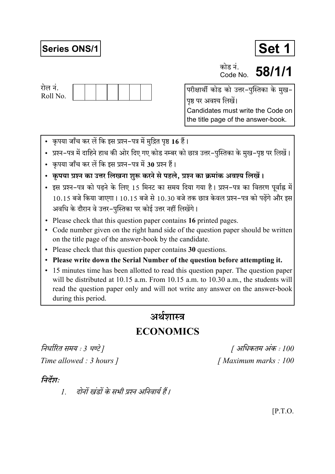# **Series ONS/1**



कोड नं Code No

58/1/1



परीक्षार्थी कोड को उत्तर-पुस्तिका के मुख-पृष्ठ पर अवश्य लिखें। Candidates must write the Code on the title page of the answer-book.

- कृपया जाँच कर लें कि इस प्रश्न-पत्र में मुद्रित पृष्ठ 16 हैं।
- प्रश्न–पत्र में दाहिने हाथ की ओर दिए गए कोड नम्बर को छात्र उत्तर–पुस्तिका के मुख–पृष्ठ पर लिखें।
- कपया जाँच कर लें कि इस प्रश्न-पत्र में 30 प्रश्न हैं।
- कृपया प्रश्न का उत्तर लिखना शुरू करने से पहले, प्रश्न का क्रमांक अवश्य लिखें।
- इस प्रश्न-पत्र को पढने के लिए 15 मिनट का समय दिया गया है। प्रश्न-पत्र का वितरण पूर्वाह्न में  $10.15$  बजे किया जाएगा।  $10.15$  बजे से  $10.30$  बजे तक छात्र केवल प्रश्न-पत्र को पढेंगे और इस अवधि के दौरान वे उत्तर-पस्तिका पर कोई उत्तर नहीं लिखेंगे।
- Please check that this question paper contains 16 printed pages.
- Code number given on the right hand side of the question paper should be written on the title page of the answer-book by the candidate.
- Please check that this question paper contains 30 questions.
- Please write down the Serial Number of the question before attempting it.
- 15 minutes time has been allotted to read this question paper. The question paper will be distributed at 10.15 a.m. From 10.15 a.m. to 10.30 a.m., the students will read the question paper only and will not write any answer on the answer-book during this period.

# अर्थशास्त्र

# **ECONOMICS**

निर्धारित समय : 3 घण्टे ] Time allowed : 3 hours 1

[ अधिकतम अंक : 100 [Maximum marks: 100]

# निर्देश:

दोनों खंडों के सभी प्रश्न अनिवार्य हैं।  $\mathcal{I}$ 

 $[$ P.T.O.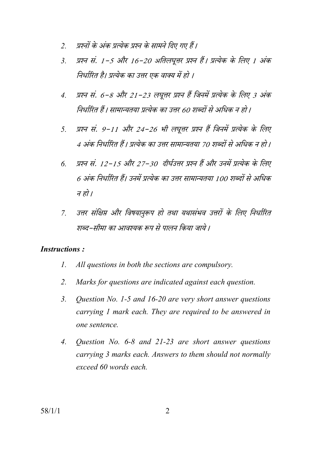- प्रश्नों के अंक प्रत्येक प्रश्न के सामने दिए गए हैं।  $\overline{2}$
- प्रश्न सं. 1-5 और 16-20 अतिलघूत्तर प्रश्न हैं। प्रत्येक के लिए 1 अंक  $\overline{3}$ निर्धारित है। प्रत्येक का उत्तर एक वाक्य में हो ।
- प्रश्न सं. 6-8 और 21-23 लघूत्तर प्रश्न हैं जिनमें प्रत्येक के लिए 3 अंक  $\overline{4}$ . निर्धारित हैं। सामान्यतया प्रत्येक का उत्तर 60 शब्दों से अधिक न हो।
- प्रश्न सं. 9-11 और 24-26 भी लघूत्तर प्रश्न हैं जिनमें प्रत्येक के लिए  $5<sub>1</sub>$ 4 अंक निर्धारित हैं। प्रत्येक का उत्तर सामान्यतया 70 शब्दों से अधिक न हो।
- प्रश्न सं. 12-15 और 27-30 दीर्घउत्तर प्रश्न हैं और उनमें प्रत्येक के लिए  $\overline{6}$ 6 अंक निर्धारित हैं। उनमें प्रत्येक का उत्तर सामान्यतया 100 शब्दों से अधिक न हो ।
- उत्तर संक्षिप्त और विषयानुरूप हो तथा यथासंभव उत्तरों के लिए निर्धारित  $\overline{7}$ शब्द–सीमा का आवश्यक रूप से पालन किया जाये ।

#### **Instructions:**

- $\mathcal{I}$ . All questions in both the sections are compulsory.
- $2.$ Marks for questions are indicated against each question.
- $\mathcal{E}$ Question No. 1-5 and 16-20 are very short answer questions carrying 1 mark each. They are required to be answered in one sentence.
- $\overline{4}$ . Question No.  $6-8$  and  $21-23$  are short answer questions carrying 3 marks each. Answers to them should not normally exceed 60 words each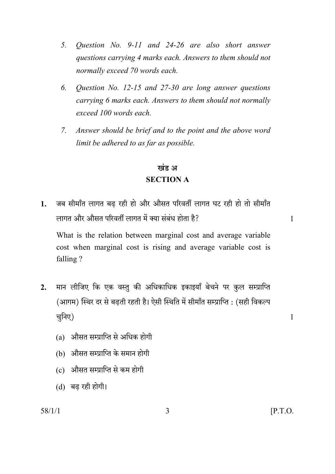- *5. Question No. 9-11 and 24-26 are also short answer questions carrying 4 marks each. Answers to them should not normally exceed 70 words each.*
- *6. Question No. 12-15 and 27-30 are long answer questions carrying 6 marks each. Answers to them should not normally exceed 100 words each.*
- *7. Answer should be brief and to the point and the above word limit be adhered to as far as possible.*

# खंड अ **SECTION A**

1. जब सीमाँत लागत बढ रही हो और औसत परिवर्ती लागत घट रही हो तो सीमाँत bmJV Am¡a Am¡gV n[adVu bmJV \_| Š`m g§~§Y hmoVm h¡? 1

 What is the relation between marginal cost and average variable cost when marginal cost is rising and average variable cost is falling ?

- 2. मान लीजिए कि एक वस्तु की अधिकाधिक इकाइयाँ बेचने पर <u>कु</u>ल सम्प्राप्ति (आगम) स्थिर दर से बढती रहती है। ऐसी स्थिति में सीमाँत सम्प्राप्ति : (सही विकल्प चुनिए) उत्तर समाप्त करने के साथ प्रकाश करने के साथ प्रकाश करने के प्रकाश करने के साथ प्रकाश करने के साथ प्रकाश
	- $(a)$  औसत सम्प्राप्ति से अधिक होगी
	- (b) औसत सम्प्राप्ति के समान होगी
	- $(c)$  औसत सम्प्राप्ति से कम होगी
	- $(d)$  बढ़ रही होगी।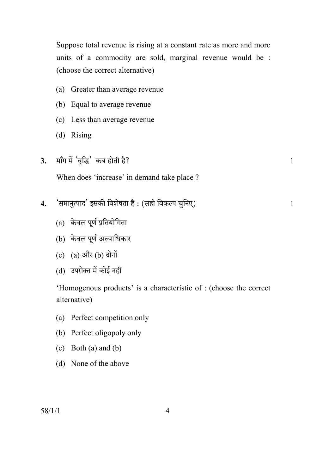Suppose total revenue is rising at a constant rate as more and more units of a commodity are sold, marginal revenue would be : (choose the correct alternative)

- (a) Greater than average revenue
- (b) Equal to average revenue
- (c) Less than average revenue
- (d) Rising
- **3.** माँग में 'वृद्धि' कब होती है? या सामान के साथ में साथ में साथ में साथ में साथ में साथ में साथ म

When does 'increase' in demand take place ?

- **4.** "g\_mZwËnmX' BgH\$s {deofVm h¡ : (ghr {dH\$ën Mw{ZE) 1
	- $(a)$  केवल पूर्ण प्रतियोगिता
	- $(b)$  केवल पूर्ण अल्पाधिकार
	- $(c)$   $(a)$  और  $(b)$  दोनों
	- (d) उपरोक्त में कोई नहीं

 'Homogenous products' is a characteristic of : (choose the correct alternative)

- (a) Perfect competition only
- (b) Perfect oligopoly only
- (c) Both (a) and (b)
- (d) None of the above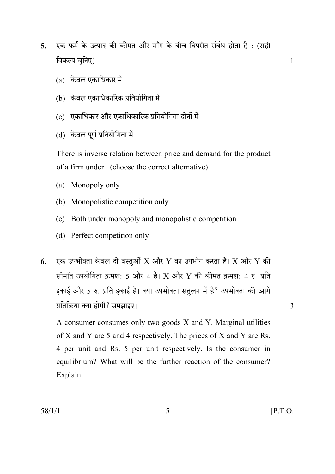- एक फर्म के उत्पाद की कीमत और माँग के बीच विपरीत संबंध होता है: (सही  $\overline{5}$ . विकल्प चुनिए)
	- $(a)$  केवल एकाधिकार में
	- (b) केवल एकाधिकारिक प्रतियोगिता में
	- (c) एकाधिकार और एकाधिकारिक प्रतियोगिता दोनों में
	- (d) केवल पूर्ण प्रतियोगिता में

There is inverse relation between price and demand for the product of a firm under: (choose the correct alternative)

- (a) Monopoly only
- (b) Monopolistic competition only
- (c) Both under monopoly and monopolistic competition
- (d) Perfect competition only
- एक उपभोक्ता केवल दो वस्तुओं X और Y का उपभोग करता है। X और Y की 6. सीमाँत उपयोगिता क्रमश: 5 और 4 है। X और Y की कीमत क्रमश: 4 रु. प्रति इकाई और 5 रु. प्रति इकाई है। क्या उपभोक्ता संतुलन में है? उपभोक्ता की आगे प्रतिक्रिया क्या होगी? समझाइए।

A consumer consumes only two goods X and Y. Marginal utilities of X and Y are 5 and 4 respectively. The prices of X and Y are Rs. 4 per unit and Rs. 5 per unit respectively. Is the consumer in equilibrium? What will be the further reaction of the consumer? Explain.

3

 $\mathbf{1}$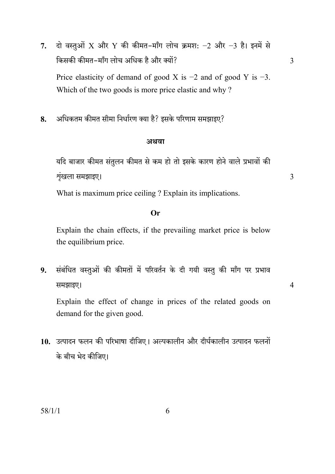दो वस्तुओं X और Y की कीमत-माँग लोच क्रमश:  $-2$  और  $-3$  है। इनमें से 7. किसकी कीमत-माँग लोच अधिक है और क्यों? Price elasticity of demand of good X is  $-2$  and of good Y is  $-3$ . Which of the two goods is more price elastic and why?

 $\overline{3}$ 

 $\overline{3}$ 

 $\overline{4}$ 

अधिकतम कीमत सीमा निर्धारण क्या है? इसके परिणाम समझाइए? 8.

#### अथवा

यदि बाजार कीमत संतुलन कीमत से कम हो तो इसके कारण होने वाले प्रभावों की शृंखला समझाइए।

What is maximum price ceiling? Explain its implications.

### $Or$

Explain the chain effects, if the prevailing market price is below the equilibrium price.

संबंधित वस्तुओं की कीमतों में परिवर्तन के दी गयी वस्तु की माँग पर प्रभाव 9. समझाइए।

Explain the effect of change in prices of the related goods on demand for the given good.

10. उत्पादन फलन की परिभाषा दीजिए। अल्पकालीन और दीर्घकालीन उत्पादन फलनों के बीच भेद कीजिए।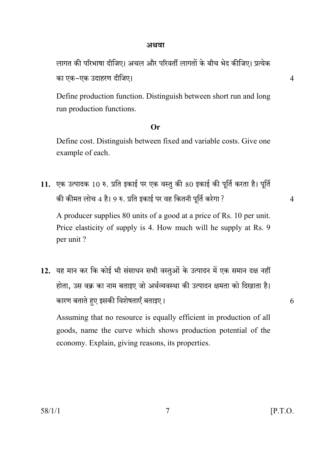#### अथवा

लागत की परिभाषा दीजिए। अचल और परिवर्ती लागतों के बीच भेद कीजिए। प्रत्येक का एक-एक उदाहरण दीजिए।

Define production function. Distinguish between short run and long run production functions.

### $Or$

Define cost. Distinguish between fixed and variable costs. Give one example of each.

11. एक उत्पादक 10 रु. प्रति इकाई पर एक वस्तु की 80 इकाई की पूर्ति करता है। पूर्ति की कीमत लोच 4 है। 9 रु. प्रति इकाई पर वह कितनी पूर्ति करेगा ?

 $\overline{4}$ 

6

A producer supplies 80 units of a good at a price of Rs. 10 per unit. Price elasticity of supply is 4. How much will he supply at Rs. 9 per unit?

12. यह मान कर कि कोई भी संसाधन सभी वस्तुओं के उत्पादन में एक समान दक्ष नहीं होता, उस वक्र का नाम बताइए जो अर्थव्यवस्था की उत्पादन क्षमता को दिखाता है। कारण बताते हुए इसकी विशेषताएँ बताइए।

Assuming that no resource is equally efficient in production of all goods, name the curve which shows production potential of the economy. Explain, giving reasons, its properties.

 $\overline{4}$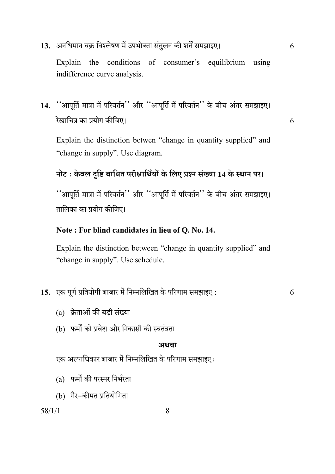# 13. अनधिमान वक्र विश्लेषण में उपभोक्ता संतुलन की शर्तें समझाइए।

6

Explain the conditions of consumer's equilibrium using indifference curve analysis.

# 14. "आपूर्ति मात्रा में परिवर्तन" और "आपूर्ति में परिवर्तन" के बीच अंतर समझाइए। रेखाचित्र का प्रयोग कीजिए।

6

Explain the distinction betwen "change in quantity supplied" and "change in supply". Use diagram.

# नोट: केवल दृष्टि बाधित परीक्षार्थियों के लिए प्रश्न संख्या 14 के स्थान पर।

''आपूर्ति मात्रा में परिवर्तन'' और ''आपूर्ति में परिवर्तन'' के बीच अंतर समझाइए। तालिका का प्रयोग कीजिए।

### Note: For blind candidates in lieu of Q. No. 14.

Explain the distinction between "change in quantity supplied" and "change in supply". Use schedule.

### 15. एक पूर्ण प्रतियोगी बाजार में निम्नलिखित के परिणाम समझाइए:

6

- (a) क्रेताओं की बडी संख्या
- (b) फर्मों को प्रवेश और निकासी की स्वतंत्रता

#### अथवा

एक अल्पाधिकार बाजार में निम्नलिखित के परिणाम समझाइए:

- (a) फर्मों की परस्पर निर्भरता
- (b) गैर-कीमत प्रतियोगिता

 $58/1/1$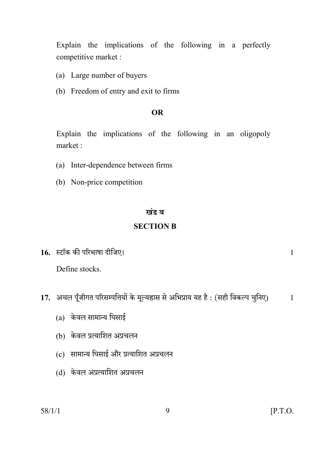Explain the implications of the following in a perfectly competitive market :

- (a) Large number of buyers
- (b) Freedom of entry and exit to firms

### **OR**

Explain the implications of the following in an oligopoly market ·

- (a) Inter-dependence between firms
- (b) Non-price competition

#### खंड ब

### **SECTION B**

16. स्टॉक की परिभाषा दीजिए।

## Define stocks.

- 17. अचल पूँजीगत परिसम्पत्तियों के मूल्यहास से अभिप्राय यह है: (सही विकल्प चुनिए)  $\mathbf{1}$ 
	- $(a)$  केवल सामान्य घिसाई
	- (b) केवल प्रत्याशित अप्रचलन
	- (c) सामान्य घिसाई और प्रत्याशित अप्रचलन
	- (d) केवल अप्रत्याशित अप्रचलन

 $58/1/1$ 

 $\mathbf{1}$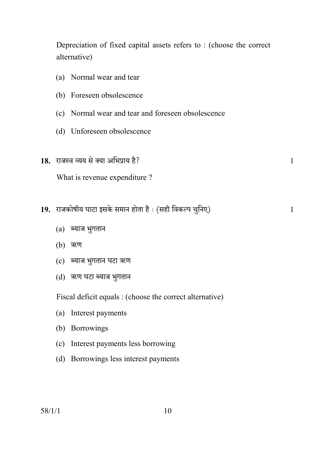Depreciation of fixed capital assets refers to : (choose the correct alternative)

- (a) Normal wear and tear
- (b) Foreseen obsolescence
- (c) Normal wear and tear and foreseen obsolescence
- (d) Unforeseen obsolescence
- **18.** amOñd ì`` go Š`m A{^àm` h¡? 1

What is revenue expenditure ?

- **19.** amOH\$mofr` KmQ>m BgHo\$ g\_mZ hmoVm h¡ … (ghr {dH\$ën Mw{ZE) 1
	- $(a)$  ब्याज भुगतान
	- $(b)$  ऋण
	- (c) ब्याज भुगतान घटा ऋण
	- (d) ऋण घटा ब्याज भुगतान

Fiscal deficit equals : (choose the correct alternative)

- (a) Interest payments
- (b) Borrowings
- (c) Interest payments less borrowing
- (d) Borrowings less interest payments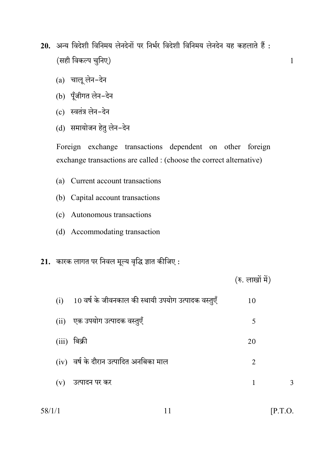- 20. अन्य विदेशी विनिमय लेनदेनों पर निर्भर विदेशी विनिमय लेनदेन यह कहलाते हैं : (सही विकल्प चुनिए)
	- (a) चालू लेन-देन
	- (b) पूँजीगत लेन-देन
	- (c) स्वतंत्र लेन-देन
	- (d) समायोजन हेतु लेन-देन

Foreign exchange transactions dependent on other foreign exchange transactions are called : (choose the correct alternative)

- (a) Current account transactions
- (b) Capital account transactions
- (c) Autonomous transactions
- (d) Accommodating transaction
- 21. कारक लागत पर निवल मूल्य वृद्धि ज्ञात कीजिए :

|                                                           | (रु. लाखों में) |   |
|-----------------------------------------------------------|-----------------|---|
| 10 वर्ष के जीवनकाल की स्थायी उपयोग उत्पादक वस्तुएँ<br>(i) | 10              |   |
| (ii) एक उपयोग उत्पादक वस्तुएँ                             | 5               |   |
| बिक्री<br>(iii)                                           | 20              |   |
| $(iv)$ वर्ष के दौरान उत्पादित अनबिका माल                  | $\overline{2}$  |   |
| उत्पादन पर कर<br>(v)                                      | 1               | 3 |
|                                                           |                 |   |

 $58/1/1$ 

 $\mathbf{1}$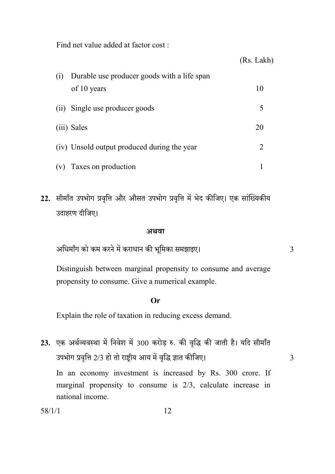Find net value added at factor cost:

|     |                                                            | (Rs. Lakh)     |
|-----|------------------------------------------------------------|----------------|
| (i) | Durable use producer goods with a life span<br>of 10 years | 10             |
|     | (ii) Single use producer goods                             | 5              |
|     | (iii) Sales                                                | 20             |
|     | (iv) Unsold output produced during the year                | $\overline{2}$ |
| (v) | Taxes on production                                        |                |

22. सीमाँत उपभोग प्रवृत्ति और औसत उपभोग प्रवृत्ति में भेद कीजिए। एक सांख्यिकीय उदाहरण दीजिए।

#### अथवा

अधिमाँग को कम करने में कराधान की भूमिका समझाइए।

Distinguish between marginal propensity to consume and average propensity to consume. Give a numerical example.

 $\overline{3}$ 

3

#### $\Omega$ r

Explain the role of taxation in reducing excess demand.

23. एक अर्थव्यवस्था में निवेश में 300 करोड़ रु. की वृद्धि की जाती है। यदि सीमाँत उपभोग प्रवृत्ति 2/3 हो तो राष्ट्रीय आय में वृद्धि ज्ञात कीजिए। In an economy investment is increased by Rs. 300 crore. If marginal propensity to consume is  $2/3$ , calculate increase in national income.

| г. |  |
|----|--|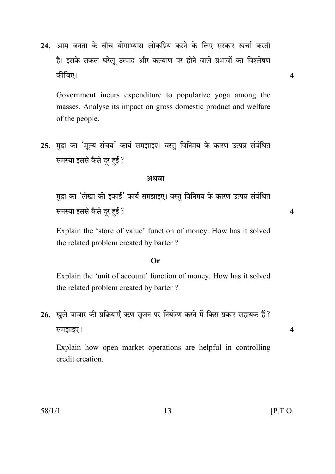24. आम जनता के बीच योगाभ्यास लोकप्रिय करने के लिए सरकार खर्चा करती है। इसके सकल घरेलू उत्पाद और कल्याण पर होने वाले प्रभावों का विश्लेषण कीजिए।

Government incurs expenditure to popularize yoga among the masses. Analyse its impact on gross domestic product and welfare of the people.

25. मुद्रा का 'मुल्य संचय' कार्य समझाइए। वस्तु विनिमय के कारण उत्पन्न संबंधित समस्या इससे कैसे दूर हुई ?

#### अथवा

मुद्रा का 'लेखा की इकाई' कार्य समझाइए। वस्तु विनिमय के कारण उत्पन्न संबंधित समस्या इससे कैसे दूर हुई ?

Explain the 'store of value' function of money. How has it solved the related problem created by barter?

#### $Or$

Explain the 'unit of account' function of money. How has it solved the related problem created by barter?

26. खुले बाजार की प्रक्रियाएँ ऋण सृजन पर नियंत्रण करने में किस प्रकार सहायक हैं ? समझाइए।

Explain how open market operations are helpful in controlling credit creation.

13

 $\overline{4}$ 

 $\overline{4}$ 

 $\overline{4}$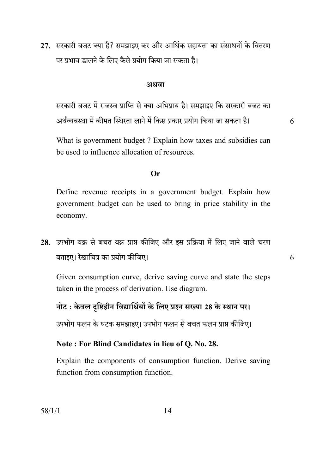27. सरकारी बजट क्या है? समझाइए कर और आर्थिक सहायता का संसाधनों के वितरण पर प्रभाव डालने के लिए कैसे प्रयोग किया जा सकता है।

#### अथवा

सरकारी बजट में राजस्व प्राप्ति से क्या अभिप्राय है। समझाइए कि सरकारी बजट का अर्थव्यवस्था में कीमत स्थिरता लाने में किस प्रकार प्रयोग किया जा सकता है।

6

6

What is government budget? Explain how taxes and subsidies can be used to influence allocation of resources

#### $Or$

Define revenue receipts in a government budget. Explain how government budget can be used to bring in price stability in the economy.

28. उपभोग वक्र से बचत वक्र प्राप्त कीजिए और इस प्रक्रिया में लिए जाने वाले चरण बताइए। रेखाचित्र का प्रयोग कीजिए।

Given consumption curve, derive saving curve and state the steps taken in the process of derivation. Use diagram.

## नोट: केवल दृष्टिहीन विद्यार्थियों के लिए प्रश्न संख्या 28 के स्थान पर।

उपभोग फलन के घटक समझाइए। उपभोग फलन से बचत फलन प्राप्त कीजिए।

# Note: For Blind Candidates in lieu of Q. No. 28.

Explain the components of consumption function. Derive saving function from consumption function.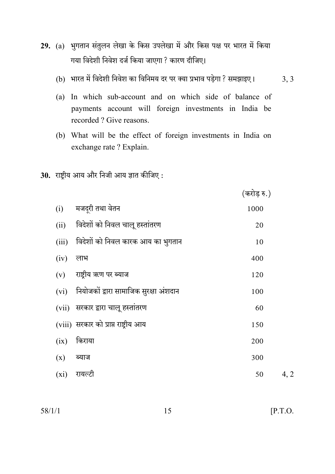- 29. (a) भुगतान संतुलन लेखा के किस उपलेखा में और किस पक्ष पर भारत में किया गया विदेशी निवेश दर्ज किया जाएगा ? कारण दीजिए।
	- (b) भारत में विदेशी निवेश का विनिमय दर पर क्या प्रभाव पड़ेगा ? समझाइए।  $3, 3$
	- (a) In which sub-account and on which side of balance of payments account will foreign investments in India be recorded? Give reasons.
	- (b) What will be the effect of foreign investments in India on exchange rate ? Explain.
- 30. राष्ट्रीय आय और निजी आय ज्ञात कीजिए:

|       |                                             | $\cdots$ $\cdots$ |    |
|-------|---------------------------------------------|-------------------|----|
| (i)   | मजद्री तथा वेतन                             | 1000              |    |
|       | (ii) विदेशों को निवल चालू हस्तांतरण         | 20                |    |
| (iii) | विदेशों को निवल कारक आय का भुगतान           | 10                |    |
| (iv)  | लाभ                                         | 400               |    |
|       | $(v)$ राष्ट्रीय ऋण पर ब्याज                 | 120               |    |
|       | (vi) नियोजकों द्वारा सामाजिक सुरक्षा अंशदान | 100               |    |
|       | (vii) सरकार द्वारा चालू हस्तांतरण           | 60                |    |
|       | (viii) सरकार को प्राप्त राष्ट्रीय आय        | 150               |    |
| (ix)  | किराया                                      | 200               |    |
| (x)   | ब्याज                                       | 300               |    |
| (xi)  | रायल्टी                                     | 50                | 4, |

 $58/1/1$ 

 $\overline{2}$ 

 $(\overline{ab} \overline{c}, \overline{b})$ 

15